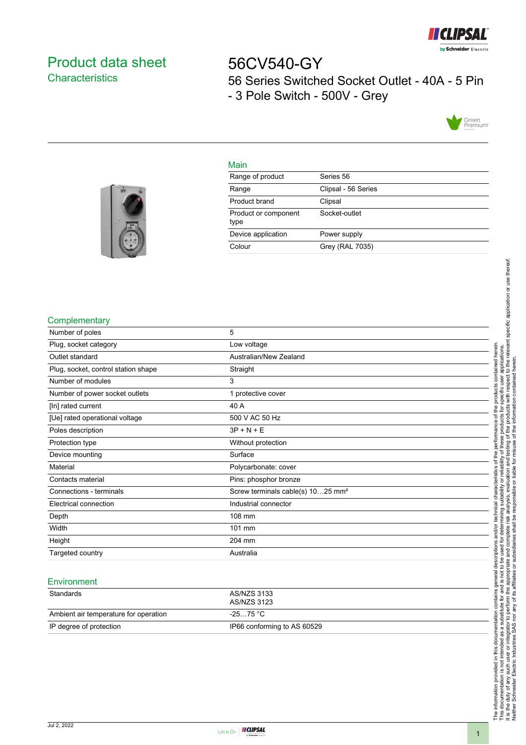

# <span id="page-0-0"></span>Product data sheet **Characteristics**

56CV540-GY 56 Series Switched Socket Outlet - 40A - 5 Pin - 3 Pole Switch - 500V - Grey



## Main

| Range of product             | Series 56           |
|------------------------------|---------------------|
| Range                        | Clipsal - 56 Series |
| Product brand                | Clipsal             |
| Product or component<br>type | Socket-outlet       |
| Device application           | Power supply        |
| Colour                       | Grey (RAL 7035)     |
|                              |                     |



#### **Complementary**

| Number of poles                     | 5                                             |
|-------------------------------------|-----------------------------------------------|
| Plug, socket category               | Low voltage                                   |
| Outlet standard                     | Australian/New Zealand                        |
| Plug, socket, control station shape | Straight                                      |
| Number of modules                   | 3                                             |
| Number of power socket outlets      | 1 protective cover                            |
| [In] rated current                  | 40 A                                          |
| [Ue] rated operational voltage      | 500 V AC 50 Hz                                |
| Poles description                   | $3P + N + E$                                  |
| Protection type                     | Without protection                            |
| Device mounting                     | Surface                                       |
| Material                            | Polycarbonate: cover                          |
| Contacts material                   | Pins: phosphor bronze                         |
| Connections - terminals             | Screw terminals cable(s) 1025 mm <sup>2</sup> |
| Electrical connection               | Industrial connector                          |
| Depth                               | 108 mm                                        |
| Width                               | 101 mm                                        |
| Height                              | 204 mm                                        |
| Targeted country                    | Australia                                     |
|                                     |                                               |

#### **Environment**

| Standards                             | AS/NZS 3133<br>AS/NZS 3123  |
|---------------------------------------|-----------------------------|
| Ambient air temperature for operation | -25…75 °C                   |
| IP degree of protection               | IP66 conforming to AS 60529 |